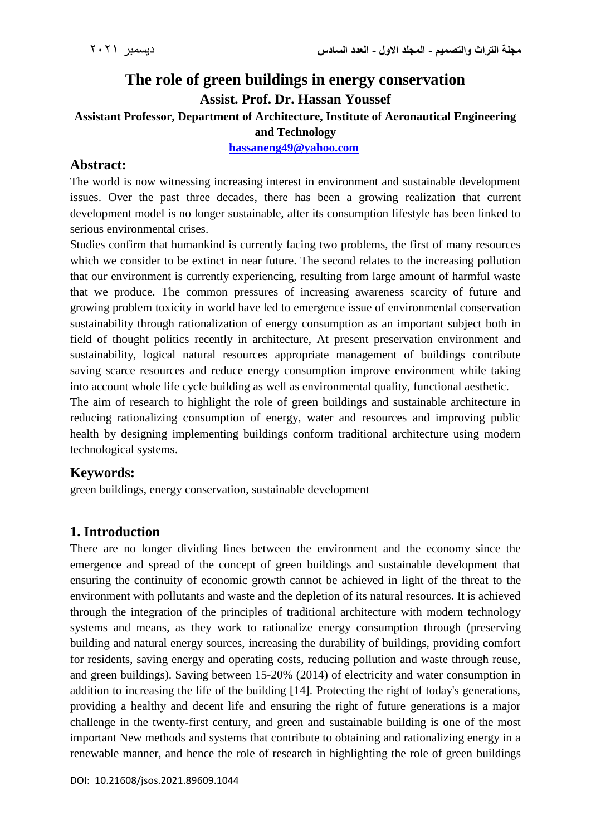# **The role of green buildings in energy conservation Assist. Prof. Dr. Hassan Youssef**

**Assistant Professor, Department of Architecture, Institute of Aeronautical Engineering and Technology**

**[hassaneng49@yahoo.com](mailto:hassaneng49@yahoo.com)**

## **Abstract:**

The world is now witnessing increasing interest in environment and sustainable development issues. Over the past three decades, there has been a growing realization that current development model is no longer sustainable, after its consumption lifestyle has been linked to serious environmental crises.

Studies confirm that humankind is currently facing two problems, the first of many resources which we consider to be extinct in near future. The second relates to the increasing pollution that our environment is currently experiencing, resulting from large amount of harmful waste that we produce. The common pressures of increasing awareness scarcity of future and growing problem toxicity in world have led to emergence issue of environmental conservation sustainability through rationalization of energy consumption as an important subject both in field of thought politics recently in architecture, At present preservation environment and sustainability, logical natural resources appropriate management of buildings contribute saving scarce resources and reduce energy consumption improve environment while taking into account whole life cycle building as well as environmental quality, functional aesthetic.

The aim of research to highlight the role of green buildings and sustainable architecture in reducing rationalizing consumption of energy, water and resources and improving public health by designing implementing buildings conform traditional architecture using modern technological systems.

# **Keywords:**

green buildings, energy conservation, sustainable development

# **1. Introduction**

There are no longer dividing lines between the environment and the economy since the emergence and spread of the concept of green buildings and sustainable development that ensuring the continuity of economic growth cannot be achieved in light of the threat to the environment with pollutants and waste and the depletion of its natural resources. It is achieved through the integration of the principles of traditional architecture with modern technology systems and means, as they work to rationalize energy consumption through (preserving building and natural energy sources, increasing the durability of buildings, providing comfort for residents, saving energy and operating costs, reducing pollution and waste through reuse, and green buildings). Saving between 15-20% (2014) of electricity and water consumption in addition to increasing the life of the building [14]. Protecting the right of today's generations, providing a healthy and decent life and ensuring the right of future generations is a major challenge in the twenty-first century, and green and sustainable building is one of the most important New methods and systems that contribute to obtaining and rationalizing energy in a renewable manner, and hence the role of research in highlighting the role of green buildings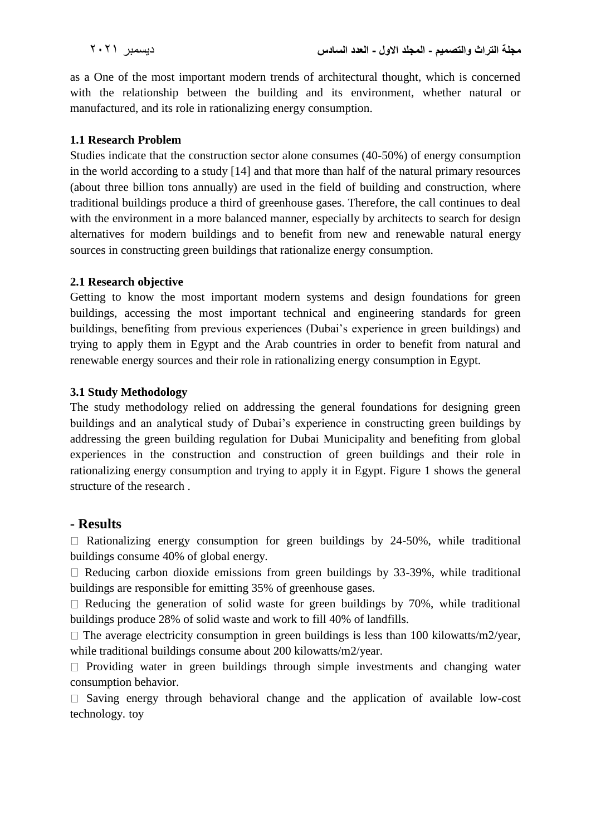as a One of the most important modern trends of architectural thought, which is concerned with the relationship between the building and its environment, whether natural or manufactured, and its role in rationalizing energy consumption.

#### **1.1 Research Problem**

Studies indicate that the construction sector alone consumes (40-50%) of energy consumption in the world according to a study [14] and that more than half of the natural primary resources (about three billion tons annually) are used in the field of building and construction, where traditional buildings produce a third of greenhouse gases. Therefore, the call continues to deal with the environment in a more balanced manner, especially by architects to search for design alternatives for modern buildings and to benefit from new and renewable natural energy sources in constructing green buildings that rationalize energy consumption.

#### **2.1 Research objective**

Getting to know the most important modern systems and design foundations for green buildings, accessing the most important technical and engineering standards for green buildings, benefiting from previous experiences (Dubai's experience in green buildings) and trying to apply them in Egypt and the Arab countries in order to benefit from natural and renewable energy sources and their role in rationalizing energy consumption in Egypt.

#### **3.1 Study Methodology**

The study methodology relied on addressing the general foundations for designing green buildings and an analytical study of Dubai's experience in constructing green buildings by addressing the green building regulation for Dubai Municipality and benefiting from global experiences in the construction and construction of green buildings and their role in rationalizing energy consumption and trying to apply it in Egypt. Figure 1 shows the general structure of the research .

### **- Results**

 $\Box$  Rationalizing energy consumption for green buildings by 24-50%, while traditional buildings consume 40% of global energy.

 $\Box$  Reducing carbon dioxide emissions from green buildings by 33-39%, while traditional buildings are responsible for emitting 35% of greenhouse gases.

 $\Box$  Reducing the generation of solid waste for green buildings by 70%, while traditional buildings produce 28% of solid waste and work to fill 40% of landfills.

 $\Box$  The average electricity consumption in green buildings is less than 100 kilowatts/m2/year, while traditional buildings consume about 200 kilowatts/m2/year.

 $\Box$  Providing water in green buildings through simple investments and changing water consumption behavior.

 $\Box$  Saving energy through behavioral change and the application of available low-cost technology. toy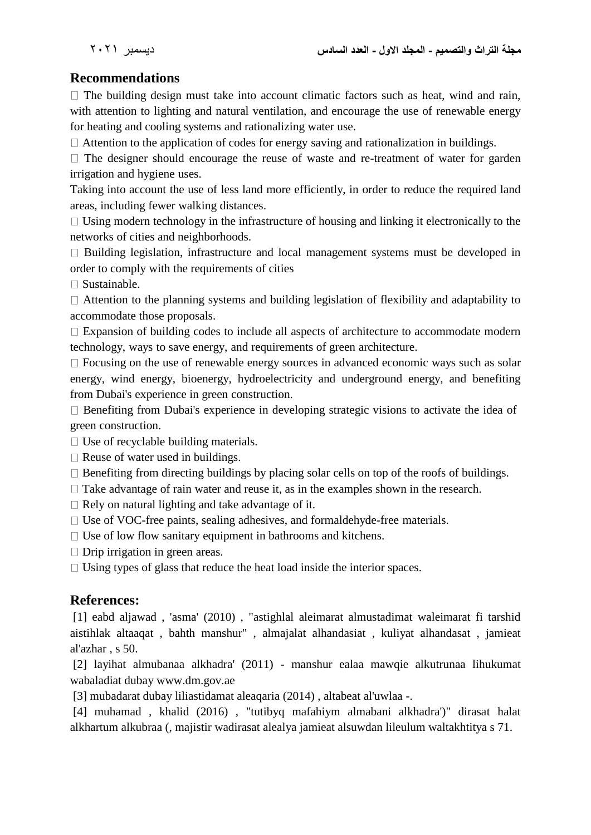# **Recommendations**

 $\Box$  The building design must take into account climatic factors such as heat, wind and rain, with attention to lighting and natural ventilation, and encourage the use of renewable energy for heating and cooling systems and rationalizing water use.

 $\Box$  Attention to the application of codes for energy saving and rationalization in buildings.

 $\Box$  The designer should encourage the reuse of waste and re-treatment of water for garden irrigation and hygiene uses.

Taking into account the use of less land more efficiently, in order to reduce the required land areas, including fewer walking distances.

 $\Box$  Using modern technology in the infrastructure of housing and linking it electronically to the networks of cities and neighborhoods.

 $\Box$  Building legislation, infrastructure and local management systems must be developed in order to comply with the requirements of cities

 $\square$  Sustainable.

Attention to the planning systems and building legislation of flexibility and adaptability to accommodate those proposals.

 $\Box$  Expansion of building codes to include all aspects of architecture to accommodate modern technology, ways to save energy, and requirements of green architecture.

 $\Box$  Focusing on the use of renewable energy sources in advanced economic ways such as solar energy, wind energy, bioenergy, hydroelectricity and underground energy, and benefiting from Dubai's experience in green construction.

 $\Box$  Benefiting from Dubai's experience in developing strategic visions to activate the idea of green construction.

 $\Box$  Use of recyclable building materials.

 $\Box$  Reuse of water used in buildings.

 $\Box$  Benefiting from directing buildings by placing solar cells on top of the roofs of buildings.

 $\Box$  Take advantage of rain water and reuse it, as in the examples shown in the research.

 $\Box$  Rely on natural lighting and take advantage of it.

 $\Box$  Use of VOC-free paints, sealing adhesives, and formaldehyde-free materials.

 $\Box$  Use of low flow sanitary equipment in bathrooms and kitchens.

 $\Box$  Drip irrigation in green areas.

 $\Box$  Using types of glass that reduce the heat load inside the interior spaces.

### **References:**

[1] eabd aljawad , 'asma' (2010) , "astighlal aleimarat almustadimat waleimarat fi tarshid aistihlak altaaqat , bahth manshur" , almajalat alhandasiat , kuliyat alhandasat , jamieat al'azhar , s 50.

[2] layihat almubanaa alkhadra' (2011) - manshur ealaa mawqie alkutrunaa lihukumat wabaladiat dubay www.dm.gov.ae

[3] mubadarat dubay liliastidamat aleaqaria (2014) , altabeat al'uwlaa -.

[4] muhamad , khalid (2016) , "tutibyq mafahiym almabani alkhadra')" dirasat halat alkhartum alkubraa (, majistir wadirasat alealya jamieat alsuwdan lileulum waltakhtitya s 71.